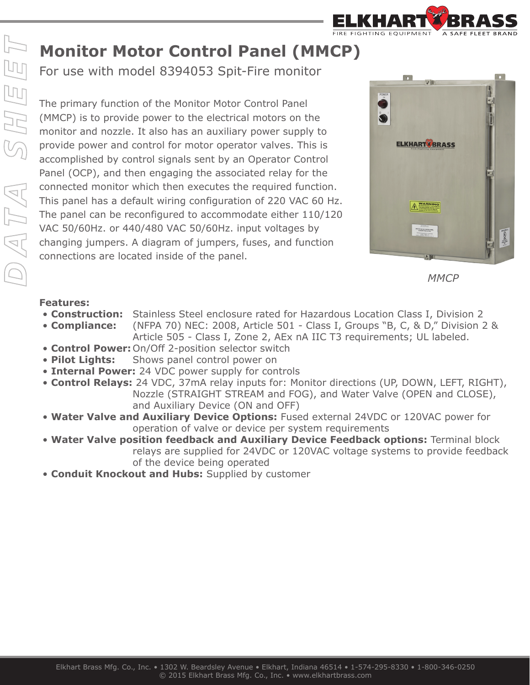

## **Monitor Motor Control Panel (MMCP)**

For use with model 8394053 Spit-Fire monitor

The primary function of the Monitor Motor Control Panel (MMCP) is to provide power to the electrical motors on the monitor and nozzle. It also has an auxiliary power supply to provide power and control for motor operator valves. This is accomplished by control signals sent by an Operator Control Panel (OCP), and then engaging the associated relay for the connected monitor which then executes the required function. This panel has a default wiring configuration of 220 VAC 60 Hz. The panel can be reconfigured to accommodate either 110/120 VAC 50/60Hz. or 440/480 VAC 50/60Hz. input voltages by changing jumpers. A diagram of jumpers, fuses, and function connections are located inside of the panel.





## **Features:**

- **Construction:** Stainless Steel enclosure rated for Hazardous Location Class I, Division 2
- **Compliance:** (NFPA 70) NEC: 2008, Article 501 Class I, Groups "B, C, & D," Division 2 & Article 505 - Class I, Zone 2, AEx nA IIC T3 requirements; UL labeled.
- **Control Power:** On/Off 2-position selector switch
- **Pilot Lights:** Shows panel control power on
- **Internal Power:** 24 VDC power supply for controls
- **Control Relays:** 24 VDC, 37mA relay inputs for: Monitor directions (UP, DOWN, LEFT, RIGHT), Nozzle (STRAIGHT STREAM and FOG), and Water Valve (OPEN and CLOSE), and Auxiliary Device (ON and OFF)
- **Water Valve and Auxiliary Device Options:** Fused external 24VDC or 120VAC power for operation of valve or device per system requirements
- **Water Valve position feedback and Auxiliary Device Feedback options:** Terminal block relays are supplied for 24VDC or 120VAC voltage systems to provide feedback of the device being operated
- **Conduit Knockout and Hubs:** Supplied by customer